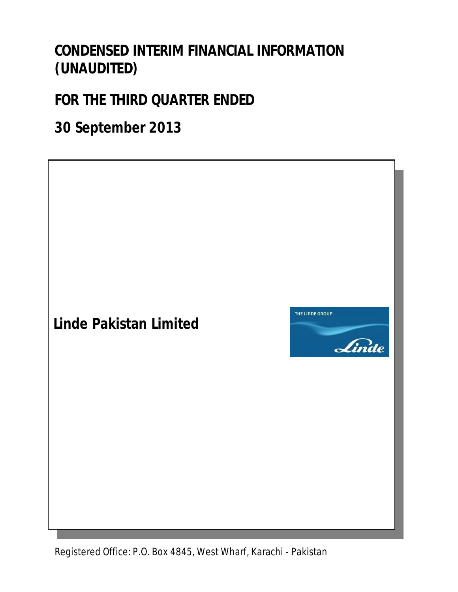# **CONDENSED INTERIM FINANCIAL INFORMATION (UNAUDITED)**

# **FOR THE THIRD QUARTER ENDED**

**30 September 2013**

**Linde Pakistan Limited**



Office: **D.O.** Roy 404E M/c  $E.$  P.O. DOX 404  $\overline{\phantom{a}}$  *Mo* Registered Office: P.O. Box 4845, West Wharf, Karachi - Pakistan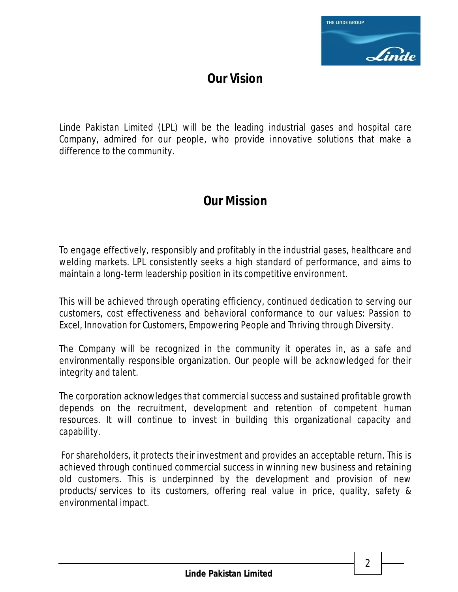

# **Our Vision**

Linde Pakistan Limited (LPL) will be the leading industrial gases and hospital care Company, admired for our people, who provide innovative solutions that make a difference to the community.

# **Our Mission**

To engage effectively, responsibly and profitably in the industrial gases, healthcare and welding markets. LPL consistently seeks a high standard of performance, and aims to maintain a long-term leadership position in its competitive environment.

This will be achieved through operating efficiency, continued dedication to serving our customers, cost effectiveness and behavioral conformance to our values: Passion to Excel, Innovation for Customers, Empowering People and Thriving through Diversity.

The Company will be recognized in the community it operates in, as a safe and environmentally responsible organization. Our people will be acknowledged for their integrity and talent.

The corporation acknowledges that commercial success and sustained profitable growth depends on the recruitment, development and retention of competent human resources. It will continue to invest in building this organizational capacity and capability.

 For shareholders, it protects their investment and provides an acceptable return. This is achieved through continued commercial success in winning new business and retaining old customers. This is underpinned by the development and provision of new products/services to its customers, offering real value in price, quality, safety & environmental impact.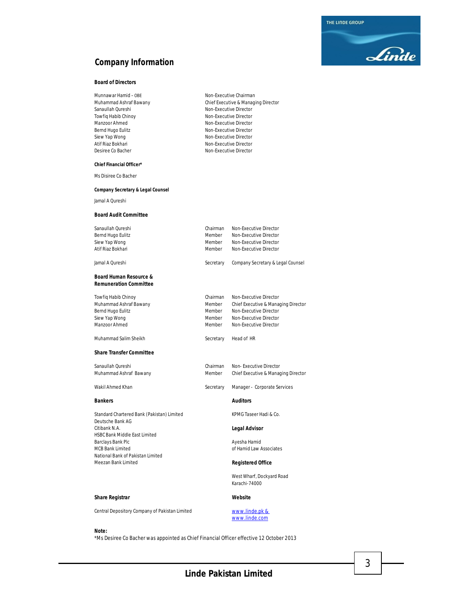THE LINDE GROUP



# **Company Information**

#### **Board of Directors**

| Munnawar Hamid – OBE   |  |
|------------------------|--|
| Muhammad Ashraf Bawany |  |
| Sanaullah Qureshi      |  |
| Towfiq Habib Chinoy    |  |
| Manzoor Ahmed          |  |
| Bernd Hugo Eulitz      |  |
| Siew Yap Wong          |  |
| Atif Riaz Bokhari      |  |
| Desiree Co Bacher      |  |

Chief Executive & Managing Director Non-Executive Director Non-Executive Director Non-Executive Director Non-Executive Director Non-Executive Director Non-Executive Chairman Non-Executive Director Non-Executive Director

#### **Chief Financial Officer\***

Ms Disiree Co Bacher

#### **Company Secretary & Legal Counsel**

Jamal A Qureshi

#### **Board Audit Committee**

| Sanaullah Oureshi                                                  | Chairman  | Non-Executive Director              |
|--------------------------------------------------------------------|-----------|-------------------------------------|
| Bernd Hugo Eulitz                                                  | Member    | Non-Executive Director              |
| Siew Yap Wong                                                      | Member    | Non-Executive Director              |
| Atif Riaz Bokhari                                                  | Member    | Non-Executive Director              |
| Jamal A Oureshi                                                    | Secretary | Company Secretary & Legal Counsel   |
| <b>Board Human Resource &amp;</b><br><b>Remuneration Committee</b> |           |                                     |
| <b>Towfig Habib Chinoy</b>                                         | Chairman  | Non-Executive Director              |
| Muhammad Ashraf Bawany                                             | Member    | Chief Executive & Managing Director |
| Bernd Hugo Eulitz                                                  | Member    | Non-Executive Director              |
| Siew Yap Wong                                                      | Member    | Non-Executive Director              |
| Manzoor Ahmed                                                      | Member    | Non-Executive Director              |
|                                                                    |           |                                     |

Muhammad Salim Sheikh Secretary Head of HR

#### **Share Transfer Committee**

| Sanaullah Qureshi      | Chairman | Non-Executive Director  |
|------------------------|----------|-------------------------|
| Muhammad Ashraf Bawany | Member   | Chief Executive & Manad |

#### Wakil Ahmed Khan Secretary Manager - Corporate Services

#### **Bankers Auditors**

Standard Chartered Bank (Pakistan) Limited KPMG Taseer Hadi & Co. Deutsche Bank AG Citibank N.A. **Legal Advisor** HSBC Bank Middle East Limited Barclays Bank Plc **Ayesha Hamid** MCB Bank Limited **of Hamid Law Associates** National Bank of Pakistan Limited

# **Share Registrar Website**

Central Depository Company of Pakistan Limited www.linde.pk &

www.linde.com

**Registered Office** 

West Wharf, Dockyard Road Karachi-74000

Chief Executive & Managing Director

**Note:**

\*Ms Desiree Co Bacher was appointed as Chief Financial Officer effective 12 October 2013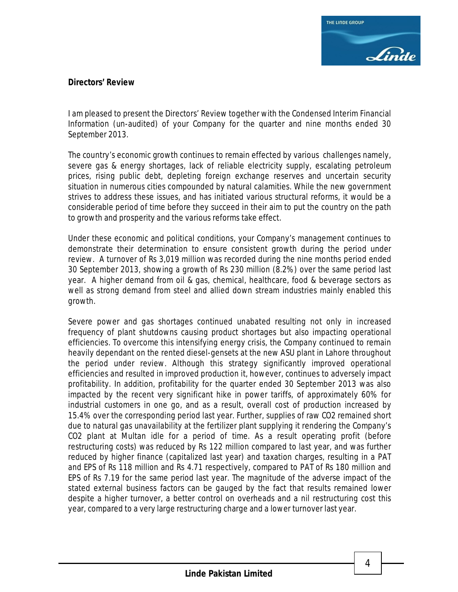

## **Directors' Review**

I am pleased to present the Directors' Review together with the Condensed Interim Financial Information (un-audited) of your Company for the quarter and nine months ended 30 September 2013.

The country's economic growth continues to remain effected by various challenges namely, severe gas & energy shortages, lack of reliable electricity supply, escalating petroleum prices, rising public debt, depleting foreign exchange reserves and uncertain security situation in numerous cities compounded by natural calamities. While the new government strives to address these issues, and has initiated various structural reforms, it would be a considerable period of time before they succeed in their aim to put the country on the path to growth and prosperity and the various reforms take effect.

Under these economic and political conditions, your Company's management continues to demonstrate their determination to ensure consistent growth during the period under review. A turnover of Rs 3,019 million was recorded during the nine months period ended 30 September 2013, showing a growth of Rs 230 million (8.2%) over the same period last year. A higher demand from oil & gas, chemical, healthcare, food & beverage sectors as well as strong demand from steel and allied down stream industries mainly enabled this growth.

Severe power and gas shortages continued unabated resulting not only in increased frequency of plant shutdowns causing product shortages but also impacting operational efficiencies. To overcome this intensifying energy crisis, the Company continued to remain heavily dependant on the rented diesel-gensets at the new ASU plant in Lahore throughout the period under review. Although this strategy significantly improved operational efficiencies and resulted in improved production it, however, continues to adversely impact profitability. In addition, profitability for the quarter ended 30 September 2013 was also impacted by the recent very significant hike in power tariffs, of approximately 60% for industrial customers in one go, and as a result, overall cost of production increased by 15.4% over the corresponding period last year. Further, supplies of raw CO2 remained short due to natural gas unavailability at the fertilizer plant supplying it rendering the Company's CO2 plant at Multan idle for a period of time. As a result operating profit (before restructuring costs) was reduced by Rs 122 million compared to last year, and was further reduced by higher finance (capitalized last year) and taxation charges, resulting in a PAT and EPS of Rs 118 million and Rs 4.71 respectively, compared to PAT of Rs 180 million and EPS of Rs 7.19 for the same period last year. The magnitude of the adverse impact of the stated external business factors can be gauged by the fact that results remained lower despite a higher turnover, a better control on overheads and a nil restructuring cost this year, compared to a very large restructuring charge and a lower turnover last year.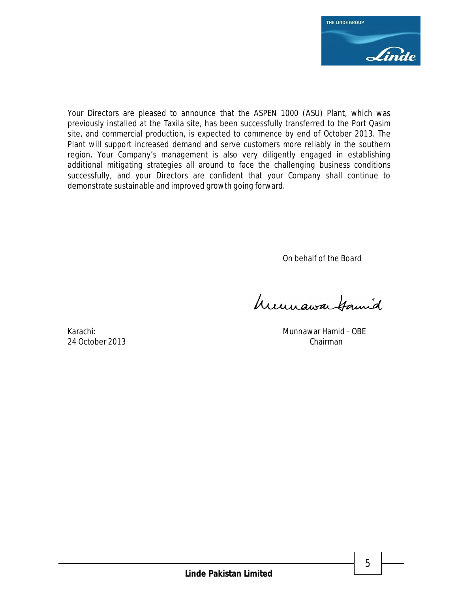

Your Directors are pleased to announce that the ASPEN 1000 (ASU) Plant, which was previously installed at the Taxila site, has been successfully transferred to the Port Qasim site, and commercial production, is expected to commence by end of October 2013. The Plant will support increased demand and serve customers more reliably in the southern region. Your Company's management is also very diligently engaged in establishing additional mitigating strategies all around to face the challenging business conditions successfully, and your Directors are confident that your Company shall continue to demonstrate sustainable and improved growth going forward.

On behalf of the Board

humawa Samid

Karachi: Munnawar Hamid – OBE 24 October 2013 Chairman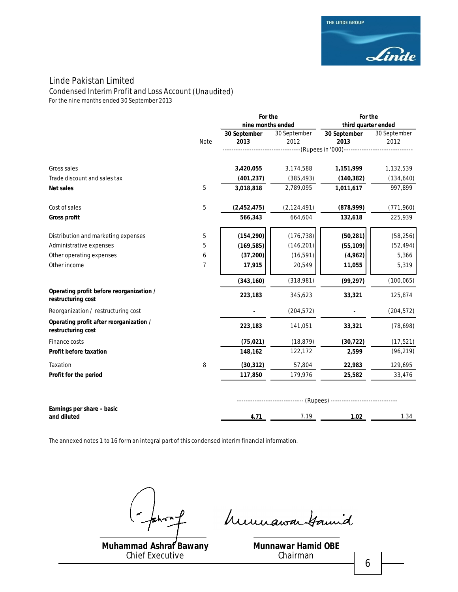Condensed Interim Profit and Loss Account *(Unaudited)*

*For the nine months ended 30 September 2013*

|                                                                |            | For the           |               | For the                                    |              |  |
|----------------------------------------------------------------|------------|-------------------|---------------|--------------------------------------------|--------------|--|
|                                                                |            | nine months ended |               | third quarter ended                        |              |  |
|                                                                |            | 30 September      | 30 September  | 30 September                               | 30 September |  |
|                                                                | Note       | 2013              | 2012          | 2013                                       | 2012         |  |
|                                                                |            |                   |               | --(Rupees in '000)------------------------ |              |  |
| Gross sales                                                    |            | 3,420,055         | 3,174,588     | 1,151,999                                  | 1,132,539    |  |
| Trade discount and sales tax                                   |            | (401, 237)        | (385, 493)    | (140, 382)                                 | (134, 640)   |  |
| <b>Net sales</b>                                               | 5          | 3,018,818         | 2,789,095     | 1,011,617                                  | 997,899      |  |
| Cost of sales                                                  | $\sqrt{5}$ | (2,452,475)       | (2, 124, 491) | (878,999)                                  | (771, 960)   |  |
| <b>Gross profit</b>                                            |            | 566,343           | 664,604       | 132,618                                    | 225,939      |  |
| Distribution and marketing expenses                            | $\sqrt{5}$ | (154, 290)        | (176, 738)    | (50, 281)                                  | (58, 256)    |  |
| Administrative expenses                                        | 5          | (169, 585)        | (146, 201)    | (55, 109)                                  | (52, 494)    |  |
| Other operating expenses                                       | 6          | (37, 200)         | (16, 591)     | (4,962)                                    | 5,366        |  |
| Other income                                                   | 7          | 17,915            | 20,549        | 11,055                                     | 5,319        |  |
|                                                                |            | (343, 160)        | (318,981)     | (99, 297)                                  | (100, 065)   |  |
| Operating profit before reorganization /<br>restructuring cost |            | 223,183           | 345,623       | 33,321                                     | 125,874      |  |
| Reorganization / restructuring cost                            |            |                   | (204, 572)    |                                            | (204, 572)   |  |
| Operating profit after reorganization /<br>restructuring cost  |            | 223,183           | 141,051       | 33,321                                     | (78, 698)    |  |
| Finance costs                                                  |            | (75, 021)         | (18, 879)     | (30, 722)                                  | (17, 521)    |  |
| <b>Profit before taxation</b>                                  |            | 148,162           | 122,172       | 2,599                                      | (96, 219)    |  |
| Taxation                                                       | 8          | (30, 312)         | 57,804        | 22,983                                     | 129,695      |  |
| Profit for the period                                          |            | 117,850           | 179,976       | 25,582                                     | 33,476       |  |
|                                                                |            |                   |               |                                            |              |  |
| Earnings per share - basic<br>and diluted                      |            | 4.71              | 7.19          | 1.02                                       | 1.34         |  |

The annexed notes 1 to 16 form an integral part of this condensed interim financial information.

**Muhammad Ashraf Bawany** Chief Executive

prof humansatamid

**Munnawar Hamid OBE** Chairman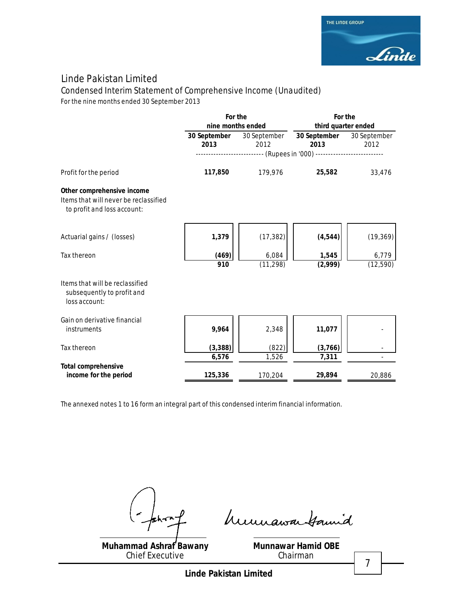

Condensed Interim Statement of Comprehensive Income *(Unaudited)*

*For the nine months ended 30 September 2013*

|                                                                                                    | For the<br>nine months ended |                      | For the<br>third quarter ended                                      |                      |  |
|----------------------------------------------------------------------------------------------------|------------------------------|----------------------|---------------------------------------------------------------------|----------------------|--|
|                                                                                                    | 30 September<br>2013         | 30 September<br>2012 | 30 September<br>2013                                                | 30 September<br>2012 |  |
|                                                                                                    |                              |                      | ---------------------- (Rupees in '000) --------------------------- |                      |  |
| Profit for the period                                                                              | 117,850                      | 179,976              | 25,582                                                              | 33,476               |  |
| Other comprehensive income<br>Items that will never be reclassified<br>to profit and loss account: |                              |                      |                                                                     |                      |  |
| Actuarial gains / (losses)                                                                         | 1,379                        | (17, 382)            | (4, 544)                                                            | (19, 369)            |  |
| Tax thereon                                                                                        | (469)<br>910                 | 6,084<br>(11, 298)   | 1,545<br>(2,999)                                                    | 6,779<br>(12, 590)   |  |
| Items that will be reclassified<br>subsequently to profit and<br>loss account:                     |                              |                      |                                                                     |                      |  |
| Gain on derivative financial<br>instruments                                                        | 9,964                        | 2,348                | 11,077                                                              |                      |  |
| Tax thereon                                                                                        | (3, 388)<br>6,576            | (822)<br>1,526       | (3,766)<br>7,311                                                    |                      |  |
| <b>Total comprehensive</b>                                                                         |                              |                      |                                                                     |                      |  |
| income for the period                                                                              | 125,336                      | 170,204              | 29,894                                                              | 20,886               |  |

The annexed notes 1 to 16 form an integral part of this condensed interim financial information.

 $m_{\perp}^2$ 

humawa tamid

**Muhammad Ashraf Bawany** Chief Executive

**Munnawar Hamid OBE** Chairman

7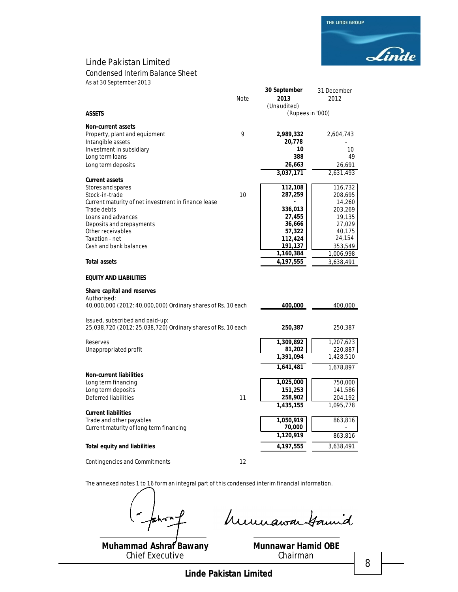Condensed Interim Balance Sheet

*As at 30 September 2013*

|                                                              | Note | 30 September<br>2013            | 31 December<br>2012 |
|--------------------------------------------------------------|------|---------------------------------|---------------------|
| <b>ASSETS</b>                                                |      | (Unaudited)<br>(Rupees in '000) |                     |
| <b>Non-current assets</b>                                    |      |                                 |                     |
| Property, plant and equipment                                | 9    | 2,989,332                       | 2,604,743           |
| Intangible assets                                            |      | 20,778<br>10                    |                     |
| Investment in subsidiary<br>Long term loans                  |      | 388                             | 10<br>49            |
| Long term deposits                                           |      | 26,663                          | 26,691              |
|                                                              |      | 3,037,171                       | 2,631,493           |
| <b>Current assets</b>                                        |      |                                 |                     |
| Stores and spares                                            |      | 112,108                         | 116,732             |
| Stock-in-trade                                               | 10   | 287,259                         | 208,695             |
| Current maturity of net investment in finance lease          |      |                                 | 14,260              |
| Trade debts<br>Loans and advances                            |      | 336,013<br>27,455               | 203,269<br>19,135   |
| Deposits and prepayments                                     |      | 36,666                          | 27,029              |
| Other receivables                                            |      | 57,322                          | 40,175              |
| Taxation - net                                               |      | 112,424                         | 24,154              |
| Cash and bank balances                                       |      | 191,137                         | 353,549             |
|                                                              |      | 1,160,384                       | 1,006,998           |
| <b>Total assets</b>                                          |      | 4,197,555                       | 3,638,491           |
| <b>EQUITY AND LIABILITIES</b>                                |      |                                 |                     |
| Share capital and reserves                                   |      |                                 |                     |
| Authorised:                                                  |      |                                 |                     |
| 40,000,000 (2012: 40,000,000) Ordinary shares of Rs. 10 each |      | 400,000                         | 400,000             |
| Issued, subscribed and paid-up:                              |      |                                 |                     |
| 25,038,720 (2012: 25,038,720) Ordinary shares of Rs. 10 each |      | 250,387                         | 250,387             |
|                                                              |      |                                 |                     |
| Reserves                                                     |      | 1,309,892                       | 1,207,623           |
| Unappropriated profit                                        |      | 81,202<br>1,391,094             | 220,887             |
|                                                              |      |                                 | 1,428,510           |
|                                                              |      | 1,641,481                       | 1,678,897           |
| <b>Non-current liabilities</b><br>Long term financing        |      | 1,025,000                       | 750,000             |
| Long term deposits                                           |      | 151,253                         | 141,586             |
| Deferred liabilities                                         | 11   | 258,902                         | 204,192             |
|                                                              |      | 1,435,155                       | 1,095,778           |
| <b>Current liabilities</b>                                   |      |                                 |                     |
| Trade and other payables                                     |      | 1,050,919                       | 863,816             |
| Current maturity of long term financing                      |      | 70,000                          |                     |
|                                                              |      | 1,120,919                       | 863,816             |
| <b>Total equity and liabilities</b>                          |      | 4,197,555                       | 3,638,491           |
| Contingencies and Commitments                                | 12   |                                 |                     |

The annexed notes 1 to 16 form an integral part of this condensed interim financial information.

humawa tamid

**Muhammad Ashraf Bawany** Chief Executive

**Munnawar Hamid OBE** Chairman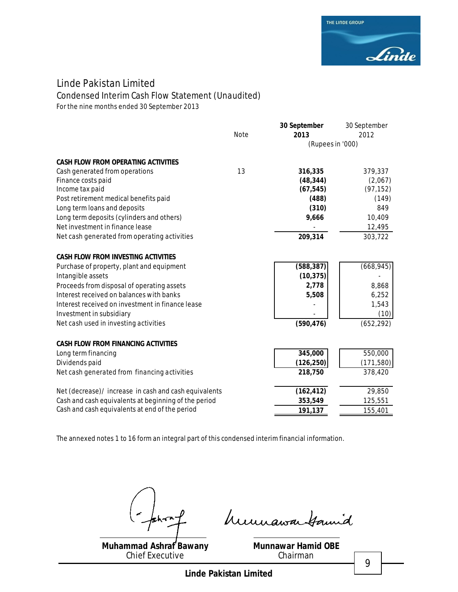

# Condensed Interim Cash Flow Statement *(Unaudited)*

*For the nine months ended 30 September 2013*

|                                                       | <b>Note</b> | 30 September<br>2013 | 30 September<br>2012 |
|-------------------------------------------------------|-------------|----------------------|----------------------|
|                                                       |             | (Rupees in '000)     |                      |
| <b>CASH FLOW FROM OPERATING ACTIVITIES</b>            |             |                      |                      |
| Cash generated from operations                        | 13          | 316,335              | 379,337              |
| Finance costs paid                                    |             | (48, 344)            | (2,067)              |
| Income tax paid                                       |             | (67, 545)            | (97, 152)            |
| Post retirement medical benefits paid                 |             | (488)                | (149)                |
| Long term loans and deposits                          |             | (310)                | 849                  |
| Long term deposits (cylinders and others)             |             | 9,666                | 10,409               |
| Net investment in finance lease                       |             |                      | 12,495               |
| Net cash generated from operating activities          |             | 209,314              | 303,722              |
| <b>CASH FLOW FROM INVESTING ACTIVITIES</b>            |             |                      |                      |
| Purchase of property, plant and equipment             |             | (588, 387)           | (668, 945)           |
| Intangible assets                                     |             | (10, 375)            |                      |
| Proceeds from disposal of operating assets            |             | 2,778                | 8,868                |
| Interest received on balances with banks              |             | 5,508                | 6,252                |
| Interest received on investment in finance lease      |             |                      | 1,543                |
| Investment in subsidiary                              |             |                      | (10)                 |
| Net cash used in investing activities                 |             | (590, 476)           | (652, 292)           |
| <b>CASH FLOW FROM FINANCING ACTIVITIES</b>            |             |                      |                      |
| Long term financing                                   |             | 345,000              | 550,000              |
| Dividends paid                                        |             | (126, 250)           | (171, 580)           |
| Net cash generated from financing activities          |             | 218,750              | 378,420              |
| Net (decrease)/ increase in cash and cash equivalents |             | (162, 412)           | 29,850               |
| Cash and cash equivalents at beginning of the period  |             | 353,549              | 125,551              |
| Cash and cash equivalents at end of the period        |             | 191,137              | 155,401              |

The annexed notes 1 to 16 form an integral part of this condensed interim financial information.

 $m_{\perp}^2$ 

**Muhammad Ashraf Bawany** Chief Executive

**Munnawar Hamid OBE**

Chairman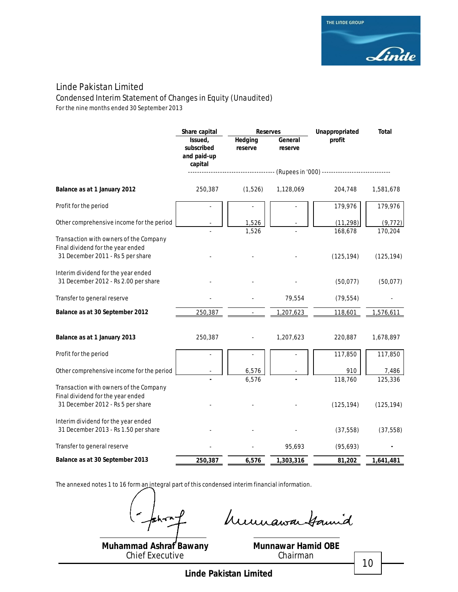Condensed Interim Statement of Changes in Equity *(Unaudited)*

*For the nine months ended 30 September 2013*

|                                                                             | Share capital                                   | <b>Reserves</b>    |                    | Unappropriated<br>Total                     |            |
|-----------------------------------------------------------------------------|-------------------------------------------------|--------------------|--------------------|---------------------------------------------|------------|
|                                                                             | Issued,<br>subscribed<br>and paid-up<br>capital | Hedging<br>reserve | General<br>reserve | profit                                      |            |
|                                                                             |                                                 |                    |                    | (Rupees in '000) -------------------------- |            |
| Balance as at 1 January 2012                                                | 250,387                                         | (1,526)            | 1,128,069          | 204,748                                     | 1,581,678  |
| Profit for the period                                                       |                                                 |                    |                    | 179,976                                     | 179,976    |
| Other comprehensive income for the period                                   |                                                 | 1,526<br>1,526     |                    | (11, 298)                                   | (9, 772)   |
| Transaction with owners of the Company                                      |                                                 |                    |                    | 168,678                                     | 170,204    |
| Final dividend for the year ended<br>31 December 2011 - Rs 5 per share      |                                                 |                    |                    | (125, 194)                                  | (125, 194) |
| Interim dividend for the year ended<br>31 December 2012 - Rs 2.00 per share |                                                 |                    |                    | (50,077)                                    | (50,077)   |
| Transfer to general reserve                                                 |                                                 |                    | 79,554             | (79, 554)                                   |            |
| Balance as at 30 September 2012                                             | 250,387                                         |                    | 1,207,623          | 118,601                                     | 1,576,611  |
| Balance as at 1 January 2013                                                | 250,387                                         |                    | 1,207,623          | 220,887                                     | 1,678,897  |
| Profit for the period                                                       |                                                 |                    |                    | 117,850                                     | 117,850    |
| Other comprehensive income for the period                                   |                                                 | 6,576              |                    | 910                                         | 7,486      |
| Transaction with owners of the Company<br>Final dividend for the year ended |                                                 | 6,576              |                    | 118,760                                     | 125,336    |
| 31 December 2012 - Rs 5 per share                                           |                                                 |                    |                    | (125, 194)                                  | (125, 194) |
| Interim dividend for the year ended<br>31 December 2013 - Rs 1.50 per share |                                                 |                    |                    | (37, 558)                                   | (37, 558)  |
| Transfer to general reserve                                                 |                                                 |                    | 95,693             | (95, 693)                                   |            |
| Balance as at 30 September 2013                                             | 250,387                                         | 6,576              | 1,303,316          | 81,202                                      | 1,641,481  |

The annexed notes 1 to 16 form an integral part of this condensed interim financial information.

khm.

humawa tamid

**Muhammad Ashraf Bawany** Chief Executive

**Munnawar Hamid OBE** Chairman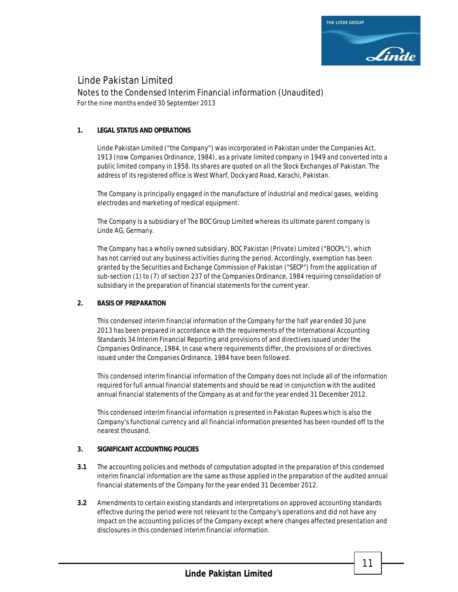

Notes to the Condensed Interim Financial information (Unaudited) *For the nine months ended 30 September 2013*

### **1. LEGAL STATUS AND OPERATIONS**

Linde Pakistan Limited ("the Company") was incorporated in Pakistan under the Companies Act, 1913 (now Companies Ordinance, 1984), as a private limited company in 1949 and converted into a public limited company in 1958. Its shares are quoted on all the Stock Exchanges of Pakistan. The address of its registered office is West Wharf, Dockyard Road, Karachi, Pakistan.

The Company is principally engaged in the manufacture of industrial and medical gases, welding electrodes and marketing of medical equipment.

The Company is a subsidiary of The BOC Group Limited whereas its ultimate parent company is Linde AG, Germany.

The Company has a wholly owned subsidiary, BOC Pakistan (Private) Limited ("BOCPL"), which has not carried out any business activities during the period. Accordingly, exemption has been granted by the Securities and Exchange Commission of Pakistan ("SECP") from the application of sub-section (1) to (7) of section 237 of the Companies Ordinance, 1984 requiring consolidation of subsidiary in the preparation of financial statements for the current year.

### **2. BASIS OF PREPARATION**

This condensed interim financial information of the Company for the half year ended 30 June 2013 has been prepared in accordance with the requirements of the International Accounting Standards 34 Interim Financial Reporting and provisions of and directives issued under the Companies Ordinance, 1984. In case where requirements differ, the provisions of or directives issued under the Companies Ordinance, 1984 have been followed.

This condensed interim financial information of the Company does not include all of the information required for full annual financial statements and should be read in conjunction with the audited annual financial statements of the Company as at and for the year ended 31 December 2012.

This condensed interim financial information is presented in Pakistan Rupees which is also the Company's functional currency and all financial information presented has been rounded off to the nearest thousand.

### **3. SIGNIFICANT ACCOUNTING POLICIES**

- **3.1** The accounting policies and methods of computation adopted in the preparation of this condensed interim financial information are the same as those applied in the preparation of the audited annual financial statements of the Company for the year ended 31 December 2012.
- **3.2** Amendments to certain existing standards and interpretations on approved accounting standards effective during the period were not relevant to the Company's operations and did not have any impact on the accounting policies of the Company except where changes affected presentation and disclosures in this condensed interim financial information.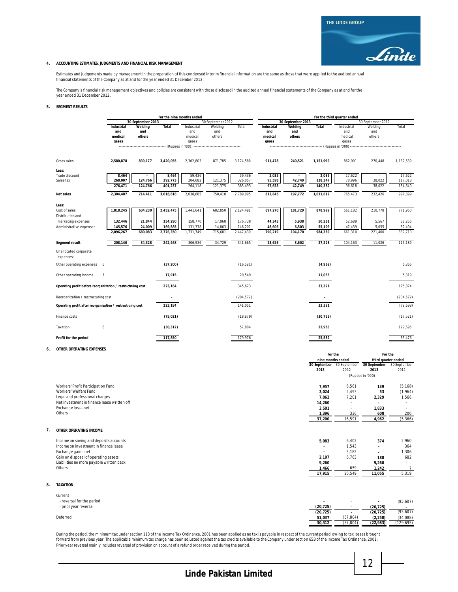#### **4. ACCOUNTING ESTIMATES, JUDGMENTS AND FINANCIAL RISK MANAGEMENT**

Estimates and judgements made by management in the preparation of this condensed inferim financial information are the same as those that were applied to the audited annual<br>financial statements of the Company as at and for

The Company's financial risk management objectives and policies are consistent with those disclosed in the audited annual financial statements of the Company as at and for the year ended 31 December 2012.

#### **5. SEGMENT RESULTS**

|    |                                                             | For the nine months ended |                   |                              | For the third quarter ended |                   |            |                   |                   |                                    |                           |                                       |                |
|----|-------------------------------------------------------------|---------------------------|-------------------|------------------------------|-----------------------------|-------------------|------------|-------------------|-------------------|------------------------------------|---------------------------|---------------------------------------|----------------|
|    |                                                             |                           | 30 September 2013 |                              |                             | 30 September 2012 |            |                   | 30 September 2013 |                                    |                           | 30 September 2012                     |                |
|    |                                                             | Industrial                | Welding           | <b>Total</b>                 | Industrial                  | Welding           | Total      | <b>Industrial</b> | Welding           | Total                              | Industrial                | Welding                               | Total          |
|    |                                                             | and                       | and               |                              | and                         | and               |            | and               | and               |                                    | and                       | and                                   |                |
|    |                                                             | medical                   | others            |                              | medical                     | others            |            | medical           | others            |                                    | medical                   | others                                |                |
|    |                                                             | gases                     |                   |                              | gases                       |                   |            | gases             |                   |                                    | gases                     |                                       |                |
|    |                                                             |                           |                   | -------- (Rupees in '000) -- |                             |                   |            |                   |                   | -------------- (Rupees in '000) -- |                           |                                       |                |
|    | Gross sales                                                 | 2,580,878                 | 839,177           | 3,420,055                    | 2,302,803                   | 871,785           | 3,174,588  | 911,478           | 240,521           | 1,151,999                          | 862,091                   | 270,448                               | 1,132,539      |
|    | Less:                                                       |                           |                   |                              |                             |                   |            |                   |                   |                                    |                           |                                       |                |
|    | Trade discount                                              | 8,464                     |                   | 8,464                        | 59,436                      |                   | 59,436     | 2,035             |                   | 2,035                              | 17,622                    |                                       | 17,622         |
|    | Sales tax                                                   | 268,007                   | 124,766           | 392,773                      | 204,682                     | 121,375           | 326,057    | 95,598            | 42,749            | 138,347                            | 78,996                    | 38,022                                | 117,018        |
|    |                                                             | 276,471                   | 124,766           | 401,237                      | 264,118                     | 121,375           | 385,493    | 97,633            | 42,749            | 140,382                            | 96,618                    | 38,022                                | 134,640        |
|    | <b>Net sales</b>                                            | 2,304,407                 | 714,411           | 3,018,818                    | 2,038,685                   | 750,410           | 2,789,095  | 813,845           | 197,772           | 1,011,617                          | 765,473                   | 232,426                               | 997,899        |
|    | Less:                                                       |                           |                   |                              |                             |                   |            |                   |                   |                                    |                           |                                       |                |
|    | Cost of sales<br>Distribution and                           | 1,818,245                 | 634,230           | 2,452,475                    | 1,441,641                   | 682,850           | 2,124,491  | 697,270           | 181,729           | 878,999                            | 561,182                   | 210,778                               | 771,960        |
|    | marketing expenses                                          | 132,446                   | 21,844            | 154,290                      | 158,770                     | 17,968            | 176,738    | 44,343            | 5,938             | 50,281                             | 52,689                    | 5,567                                 | 58,256         |
|    | Administrative expenses                                     | 145,576                   | 24,009            | 169,585                      | 131,338                     | 14,863            | 146,201    | 48,606            | 6,503             | 55,109                             | 47,439                    | 5.055                                 | 52,494         |
|    |                                                             | 2,096,267                 | 680,083           | 2,776,350                    | 1,731,749                   | 715,681           | 2,447,430  | 790,219           | 194,170           | 984,389                            | 661,310                   | 221,400                               | 882,710        |
|    |                                                             |                           |                   |                              |                             |                   |            |                   |                   |                                    |                           |                                       |                |
|    | Segment result                                              | 208,140                   | 34,328            | 242,468                      | 306,936                     | 34,729            | 341,665    | 23,626            | 3,602             | 27,228                             | 104,163                   | 11,026                                | 115,189        |
|    | Unallocated corporate<br>expenses:                          |                           |                   |                              |                             |                   |            |                   |                   |                                    |                           |                                       |                |
|    | Other operating expenses                                    | 6                         |                   | (37, 200)                    |                             |                   | (16, 591)  |                   |                   | (4,962)                            |                           |                                       | 5,366          |
|    | Other operating income                                      | $\overline{7}$            |                   | 17,915                       |                             |                   | 20,549     |                   |                   | 11,055                             |                           |                                       | 5,319          |
|    | Operating profit before reorganization / restructruing cost |                           |                   | 223,184                      |                             |                   | 345,623    |                   |                   | 33,321                             |                           |                                       | 125,874        |
|    | Reorganization / restructuring cost                         |                           |                   |                              |                             |                   | (204, 572) |                   |                   |                                    |                           |                                       | (204, 572)     |
|    | Operating profit after reorganization / restructruing cost  |                           |                   | 223,184                      |                             |                   | 141,051    |                   |                   | 33,321                             |                           |                                       | (78, 698)      |
|    | Finance costs                                               |                           |                   | (75, 021)                    |                             |                   | (18, 879)  |                   |                   | (30, 722)                          |                           |                                       | (17, 521)      |
|    | Taxation                                                    | $\it 8$                   |                   | (30, 312)                    |                             |                   | 57,804     |                   |                   | 22,983                             |                           |                                       | 129,695        |
|    | Profit for the period                                       |                           |                   | 117,850                      |                             |                   | 179,976    |                   |                   | 25,582                             |                           |                                       | 33,476         |
| 6  | <b>OTHER OPERATING EXPENSES</b>                             |                           |                   |                              |                             |                   |            |                   |                   |                                    |                           |                                       |                |
|    |                                                             |                           |                   |                              |                             |                   |            |                   |                   | For the<br>nine months ended       |                           | For the<br>third quarter ended        |                |
|    |                                                             |                           |                   |                              |                             |                   |            |                   |                   |                                    | 30 September 30 September | 30 September                          | 30 September   |
|    |                                                             |                           |                   |                              |                             |                   |            |                   |                   | 2013                               | 2012                      | 2013                                  | 2012           |
|    |                                                             |                           |                   |                              |                             |                   |            |                   |                   |                                    |                           | --- (Rupees in '000) ---------------- |                |
|    | Workers' Profit Participation Fund                          |                           |                   |                              |                             |                   |            |                   |                   | 7,957                              | 6,561                     | 139                                   | (5, 168)       |
|    | Workers' Welfare Fund                                       |                           |                   |                              |                             |                   |            |                   |                   | 3,024                              | 2,493                     | 53                                    | (1,964)        |
|    | Legal and professional charges                              |                           |                   |                              |                             |                   |            |                   |                   |                                    | 7,201                     |                                       | 1,566          |
|    |                                                             |                           |                   |                              |                             |                   |            |                   |                   | 7,062                              |                           | 2,329                                 |                |
|    | Net investment in finance lease written off                 |                           |                   |                              |                             |                   |            |                   |                   | 14,260                             |                           |                                       |                |
|    | Exchange loss - net                                         |                           |                   |                              |                             |                   |            |                   |                   | 3,501                              |                           | 1,833                                 |                |
|    | Others                                                      |                           |                   |                              |                             |                   |            |                   |                   | 1,396                              | 336                       | 608                                   | 200            |
|    |                                                             |                           |                   |                              |                             |                   |            |                   |                   | 37,200                             | 16,591                    | 4,962                                 | (5, 366)       |
| 7. | OTHER OPERATING INCOME                                      |                           |                   |                              |                             |                   |            |                   |                   |                                    |                           |                                       |                |
|    | Income on saving and deposits accounts                      |                           |                   |                              |                             |                   |            |                   |                   | 5,083                              | 6,402                     | 374                                   | 2,960          |
|    | Income on investment in finance lease                       |                           |                   |                              |                             |                   |            |                   |                   |                                    | 1,543                     |                                       | 364            |
|    | Exchange gain - net                                         |                           |                   |                              |                             |                   |            |                   |                   | ÷,                                 | 5,182                     |                                       | 1,306          |
|    | Gain on disposal of operating assets                        |                           |                   |                              |                             |                   |            |                   |                   | 2,107                              | 6,763                     | 180                                   | 682            |
|    | Liabilities no more payable written back                    |                           |                   |                              |                             |                   |            |                   |                   | 9,260                              |                           | 9,260                                 |                |
|    | Others                                                      |                           |                   |                              |                             |                   |            |                   |                   | 1,466                              | 659                       | 1,242                                 | $\overline{7}$ |
|    |                                                             |                           |                   |                              |                             |                   |            |                   |                   | 17,915                             | 20,549                    | 11,055                                | 5,319          |
|    |                                                             |                           |                   |                              |                             |                   |            |                   |                   |                                    |                           |                                       |                |

#### **8. TAXATION**

| Current                   |           |           |           |            |
|---------------------------|-----------|-----------|-----------|------------|
| - reversal for the period |           | . .       |           | (95,607)   |
| - prior year reversal     | (20, 725) | . .       | (20, 725) | . .        |
|                           | (20, 725) |           | (20, 725) | (95,607)   |
| Deferred                  | 51,037    | (57.804)  | (2, 258)  | (34,088)   |
|                           | 30,312    | (57, 804) | (22, 983) | (129, 695) |

**Muhammad Ashraf Bawany Munnawar Hamid OBE** During the period, the minimum tax under section 113 of the Income Tax Ordinance, 2001 has been applied as no tax is payable in respect of the current period owing to tax losses brought<br>forward from previous year. The app

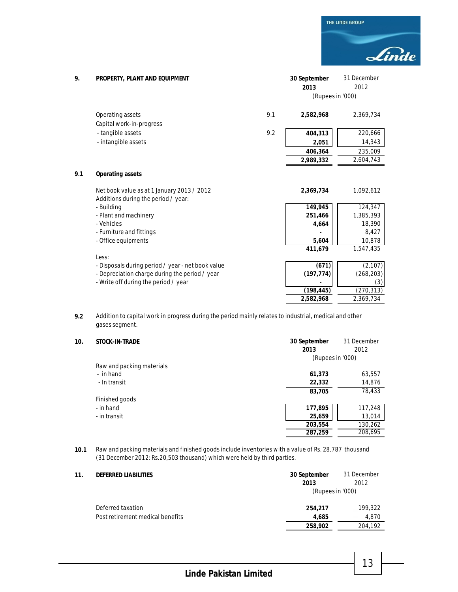THE LINDE GROUP Linde

| 9.  | PROPERTY, PLANT AND EQUIPMENT                     |     | 30 September     | 31 December |
|-----|---------------------------------------------------|-----|------------------|-------------|
|     |                                                   |     | 2013             | 2012        |
|     |                                                   |     | (Rupees in '000) |             |
|     | Operating assets                                  | 9.1 | 2,582,968        | 2,369,734   |
|     | Capital work-in-progress                          |     |                  |             |
|     | - tangible assets                                 | 9.2 | 404,313          | 220,666     |
|     | - intangible assets                               |     | 2,051            | 14,343      |
|     |                                                   |     | 406,364          | 235,009     |
|     |                                                   |     | 2,989,332        | 2,604,743   |
| 9.1 | <b>Operating assets</b>                           |     |                  |             |
|     | Net book value as at 1 January 2013 / 2012        |     | 2,369,734        | 1,092,612   |
|     | Additions during the period / year:               |     |                  |             |
|     | - Building                                        |     | 149,945          | 124,347     |
|     | - Plant and machinery                             |     | 251,466          | 1,385,393   |
|     | - Vehicles                                        |     | 4,664            | 18,390      |
|     | - Furniture and fittings                          |     |                  | 8,427       |
|     | - Office equipments                               |     | 5,604            | 10,878      |
|     |                                                   |     | 411,679          | 1,547,435   |
|     | Less:                                             |     |                  |             |
|     | - Disposals during period / year - net book value |     | (671)            | (2, 107)    |
|     | - Depreciation charge during the period / year    |     | (197, 774)       | (268, 203)  |
|     | - Write off during the period / year              |     |                  | (3)         |
|     |                                                   |     | (198, 445)       | (270, 313)  |
|     |                                                   |     | 2,582,968        | 2,369,734   |

**9.2** Addition to capital work in progress during the period mainly relates to industrial, medical and other gases segment.

| 10. | STOCK-IN-TRADE            | 30 September<br>2013 | 31 December<br>2012 |
|-----|---------------------------|----------------------|---------------------|
|     |                           | (Rupees in '000)     |                     |
|     | Raw and packing materials |                      |                     |
|     | - in hand                 | 61,373               | 63,557              |
|     | - In transit              | 22,332               | 14,876              |
|     |                           | 83,705               | 78,433              |
|     | Finished goods            |                      |                     |
|     | - in hand                 | 177,895              | 117,248             |
|     | - in transit              | 25,659               | 13,014              |
|     |                           | 203,554              | 130,262             |
|     |                           | 287,259              | 208,695             |

**10.1** Raw and packing materials and finished goods include inventories with a value of Rs. 28,787 thousand (31 December 2012: Rs.20,503 thousand) which were held by third parties.

| 11. | <b>DEFERRED LIABILITIES</b>      | 30 September<br>2013 | 31 December<br>2012 |  |
|-----|----------------------------------|----------------------|---------------------|--|
|     |                                  |                      | (Rupees in '000)    |  |
|     | Deferred taxation                | 254,217              | 199,322             |  |
|     | Post retirement medical benefits | 4.685                | 4.870               |  |
|     |                                  | 258,902              | 204,192             |  |

**Linde Pakistan Limited**

13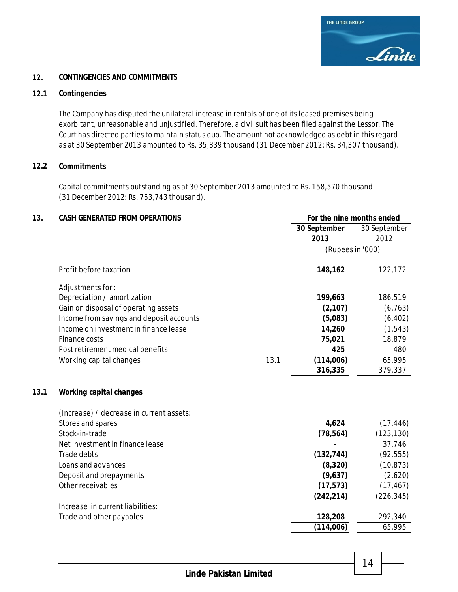### **12. CONTINGENCIES AND COMMITMENTS**

### **12.1 Contingencies**

The Company has disputed the unilateral increase in rentals of one of its leased premises being exorbitant, unreasonable and unjustified. Therefore, a civil suit has been filed against the Lessor. The Court has directed parties to maintain status quo. The amount not acknowledged as debt in this regard as at 30 September 2013 amounted to Rs. 35,839 thousand (31 December 2012: Rs. 34,307 thousand).

# **12.2 Commitments**

Capital commitments outstanding as at 30 September 2013 amounted to Rs. 158,570 thousand (31 December 2012: Rs. 753,743 thousand).

| 13.  | <b>CASH GENERATED FROM OPERATIONS</b>    |      | For the nine months ended |              |
|------|------------------------------------------|------|---------------------------|--------------|
|      |                                          |      | 30 September              | 30 September |
|      |                                          |      | 2013                      | 2012         |
|      |                                          |      | (Rupees in '000)          |              |
|      | Profit before taxation                   |      | 148,162                   | 122,172      |
|      | Adjustments for:                         |      |                           |              |
|      | Depreciation / amortization              |      | 199,663                   | 186,519      |
|      | Gain on disposal of operating assets     |      | (2, 107)                  | (6, 763)     |
|      | Income from savings and deposit accounts |      | (5,083)                   | (6, 402)     |
|      | Income on investment in finance lease    |      | 14,260                    | (1, 543)     |
|      | Finance costs                            |      | 75,021                    | 18,879       |
|      | Post retirement medical benefits         |      | 425                       | 480          |
|      | Working capital changes                  | 13.1 | (114,006)                 | 65,995       |
|      |                                          |      | 316,335                   | 379,337      |
| 13.1 | <b>Working capital changes</b>           |      |                           |              |
|      | (Increase) / decrease in current assets: |      |                           |              |
|      | Stores and spares                        |      | 4,624                     | (17, 446)    |
|      | Stock-in-trade                           |      | (78, 564)                 | (123, 130)   |
|      | Net investment in finance lease          |      |                           | 37,746       |
|      | Trade debts                              |      | (132, 744)                | (92, 555)    |
|      | Loans and advances                       |      | (8, 320)                  | (10, 873)    |
|      | Deposit and prepayments                  |      | (9,637)                   | (2,620)      |
|      | Other receivables                        |      | (17, 573)                 | (17, 467)    |
|      |                                          |      | (242, 214)                | (226, 345)   |
|      | Increase in current liabilities:         |      |                           |              |
|      | Trade and other payables                 |      | 128,208                   | 292,340      |
|      |                                          |      | (114,006)                 | 65,995       |

14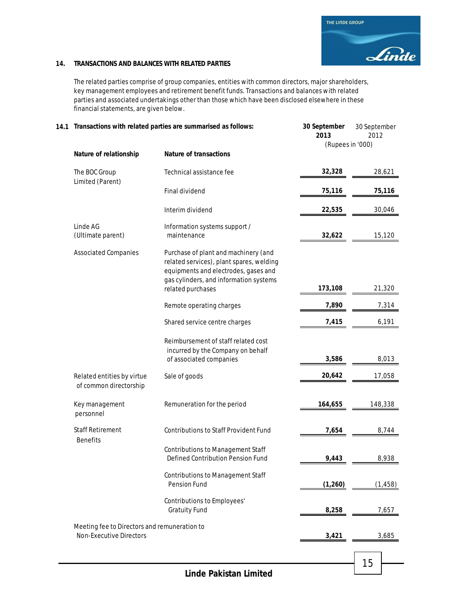### **14. TRANSACTIONS AND BALANCES WITH RELATED PARTIES**

The related parties comprise of group companies, entities with common directors, major shareholders, key management employees and retirement benefit funds. Transactions and balances with related parties and associated undertakings other than those which have been disclosed elsewhere in these financial statements, are given below.

| 14.1 Transactions with related parties are summarised as follows:              |                                                                                                                                                                                         | 30 September<br>2013 | 30 September<br>2012<br>(Rupees in '000) |  |
|--------------------------------------------------------------------------------|-----------------------------------------------------------------------------------------------------------------------------------------------------------------------------------------|----------------------|------------------------------------------|--|
| Nature of relationship                                                         | <b>Nature of transactions</b>                                                                                                                                                           |                      |                                          |  |
| The BOC Group<br>Limited (Parent)                                              | Technical assistance fee                                                                                                                                                                | 32,328               | 28,621                                   |  |
|                                                                                | Final dividend                                                                                                                                                                          | 75,116               | 75,116                                   |  |
|                                                                                | Interim dividend                                                                                                                                                                        | 22,535               | 30,046                                   |  |
| Linde AG<br>(Ultimate parent)                                                  | Information systems support /<br>maintenance                                                                                                                                            | 32,622               | 15,120                                   |  |
| <b>Associated Companies</b>                                                    | Purchase of plant and machinery (and<br>related services), plant spares, welding<br>equipments and electrodes, gases and<br>gas cylinders, and information systems<br>related purchases | 173,108              | 21,320                                   |  |
|                                                                                | Remote operating charges                                                                                                                                                                | 7,890                | 7,314                                    |  |
|                                                                                | Shared service centre charges                                                                                                                                                           | 7,415                | 6,191                                    |  |
|                                                                                | Reimbursement of staff related cost<br>incurred by the Company on behalf<br>of associated companies                                                                                     | 3,586                | 8,013                                    |  |
| Related entities by virtue<br>of common directorship                           | Sale of goods                                                                                                                                                                           | 20,642               | 17,058                                   |  |
| Key management<br>personnel                                                    | Remuneration for the period                                                                                                                                                             | 164,655              | 148,338                                  |  |
| <b>Staff Retirement</b><br><b>Benefits</b>                                     | <b>Contributions to Staff Provident Fund</b>                                                                                                                                            | 7,654                | 8,744                                    |  |
|                                                                                | <b>Contributions to Management Staff</b><br>Defined Contribution Pension Fund                                                                                                           | 9,443                | 8,938                                    |  |
|                                                                                | <b>Contributions to Management Staff</b><br>Pension Fund                                                                                                                                | (1, 260)             | (1, 458)                                 |  |
|                                                                                | Contributions to Employees'<br><b>Gratuity Fund</b>                                                                                                                                     | 8,258                | 7,657                                    |  |
| Meeting fee to Directors and remuneration to<br><b>Non-Executive Directors</b> |                                                                                                                                                                                         | 3,421                | 3,685                                    |  |
|                                                                                |                                                                                                                                                                                         |                      |                                          |  |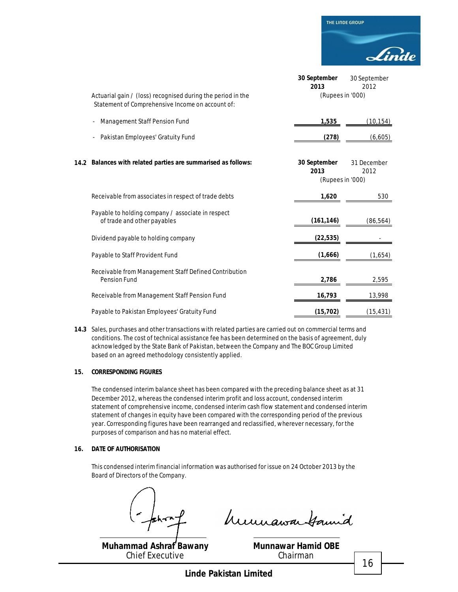|                                                                                                                 | 30 September<br>2013                     | 30 September<br>2012 |
|-----------------------------------------------------------------------------------------------------------------|------------------------------------------|----------------------|
| Actuarial gain / (loss) recognised during the period in the<br>Statement of Comprehensive Income on account of: | (Rupees in '000)                         |                      |
| Management Staff Pension Fund                                                                                   | 1,535                                    | (10, 154)            |
| Pakistan Employees' Gratuity Fund                                                                               | (278)                                    | (6,605)              |
| 14.2 Balances with related parties are summarised as follows:                                                   | 30 September<br>2013<br>(Rupees in '000) | 31 December<br>2012  |
| Receivable from associates in respect of trade debts                                                            | 1,620                                    | 530                  |
| Payable to holding company / associate in respect<br>of trade and other payables                                | (161, 146)                               | (86, 564)            |
| Dividend payable to holding company                                                                             | (22, 535)                                |                      |
| Payable to Staff Provident Fund                                                                                 | (1,666)                                  | (1,654)              |
| Receivable from Management Staff Defined Contribution<br>Pension Fund                                           | 2,786                                    | 2,595                |
| Receivable from Management Staff Pension Fund                                                                   | 16,793                                   | 13,998               |
| Payable to Pakistan Employees' Gratuity Fund                                                                    | (15, 702)                                | (15, 431)            |

**14.3** Sales, purchases and other transactions with related parties are carried out on commercial terms and conditions. The cost of technical assistance fee has been determined on the basis of agreement, duly acknowledged by the State Bank of Pakistan, between the Company and The BOC Group Limited based on an agreed methodology consistently applied.

#### **15. CORRESPONDING FIGURES**

The condensed interim balance sheet has been compared with the preceding balance sheet as at 31 December 2012, whereas the condensed interim profit and loss account, condensed interim statement of comprehensive income, condensed interim cash flow statement and condensed interim statement of changes in equity have been compared with the corresponding period of the previous year. Corresponding figures have been rearranged and reclassified, wherever necessary, for the purposes of comparison and has no material effect.

### **16. DATE OF AUTHORISATION**

This condensed interim financial information was authorised for issue on 24 October 2013 by the Board of Directors of the Company.

humawa Gamid

**Muhammad Ashraf Bawany** Chief Executive

**Munnawar Hamid OBE** Chairman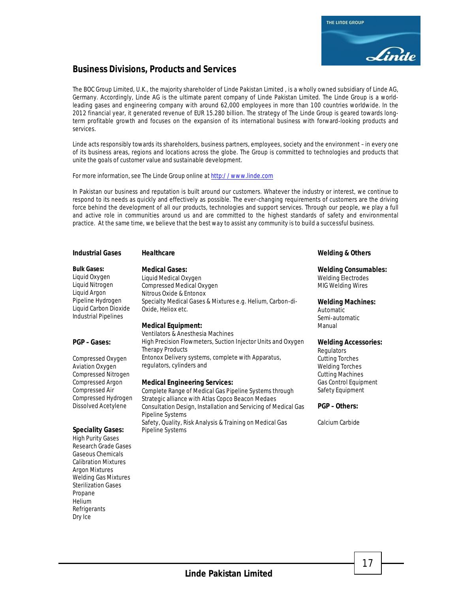

# **Business Divisions, Products and Services**

The BOC Group Limited, U.K., the majority shareholder of Linde Pakistan Limited , is a wholly owned subsidiary of Linde AG, Germany. Accordingly, Linde AG is the ultimate parent company of Linde Pakistan Limited. The Linde Group is a worldleading gases and engineering company with around 62,000 employees in more than 100 countries worldwide. In the 2012 financial year, it generated revenue of EUR 15.280 billion. The strategy of The Linde Group is geared towards longterm profitable growth and focuses on the expansion of its international business with forward-looking products and services.

Linde acts responsibly towards its shareholders, business partners, employees, society and the environment – in every one of its business areas, regions and locations across the globe. The Group is committed to technologies and products that unite the goals of customer value and sustainable development.

For more information, see The Linde Group online at http://www.linde.com

In Pakistan our business and reputation is built around our customers. Whatever the industry or interest, we continue to respond to its needs as quickly and effectively as possible. The ever-changing requirements of customers are the driving force behind the development of all our products, technologies and support services. Through our people, we play a full and active role in communities around us and are committed to the highest standards of safety and environmental practice. At the same time, we believe that the best way to assist any community is to build a successful business.

#### **Industrial Gases Healthcare Welding & Others**

#### **Bulk Gases:**

Liquid Oxygen Liquid Nitrogen Liquid Argon Pipeline Hydrogen Liquid Carbon Dioxide Industrial Pipelines

#### **PGP – Gases:**

Compressed Oxygen Aviation Oxygen Compressed Nitrogen Compressed Argon Compressed Air Compressed Hydrogen Dissolved Acetylene

# **Speciality Gases:**

High Purity Gases Research Grade Gases Gaseous Chemicals Calibration Mixtures Argon Mixtures Welding Gas Mixtures Sterilization Gases Propane Helium **Refrigerants** Dry Ice

#### **Medical Gases:**

Liquid Medical Oxygen Compressed Medical Oxygen Nitrous Oxide & Entonox Specialty Medical Gases & Mixtures e.g. Helium, Carbon-di-Oxide, Heliox etc.

### **Medical Equipment:**

Ventilators & Anesthesia Machines High Precision Flowmeters, Suction Injector Units and Oxygen Therapy Products Entonox Delivery systems, complete with Apparatus, regulators, cylinders and

#### **Medical Engineering Services:**

Complete Range of Medical Gas Pipeline Systems through Strategic alliance with Atlas Copco Beacon Medaes Consultation Design, Installation and Servicing of Medical Gas Pipeline Systems Safety, Quality, Risk Analysis & Training on Medical Gas Pipeline Systems

#### **Welding Consumables:**

Welding Electrodes MIG Welding Wires

#### **Welding Machines:**

Automatic Semi-automatic Manual

#### **Welding Accessories:**

**Regulators** Cutting Torches Welding Torches Cutting Machines Gas Control Equipment Safety Equipment

#### **PGP – Others:**

Calcium Carbide